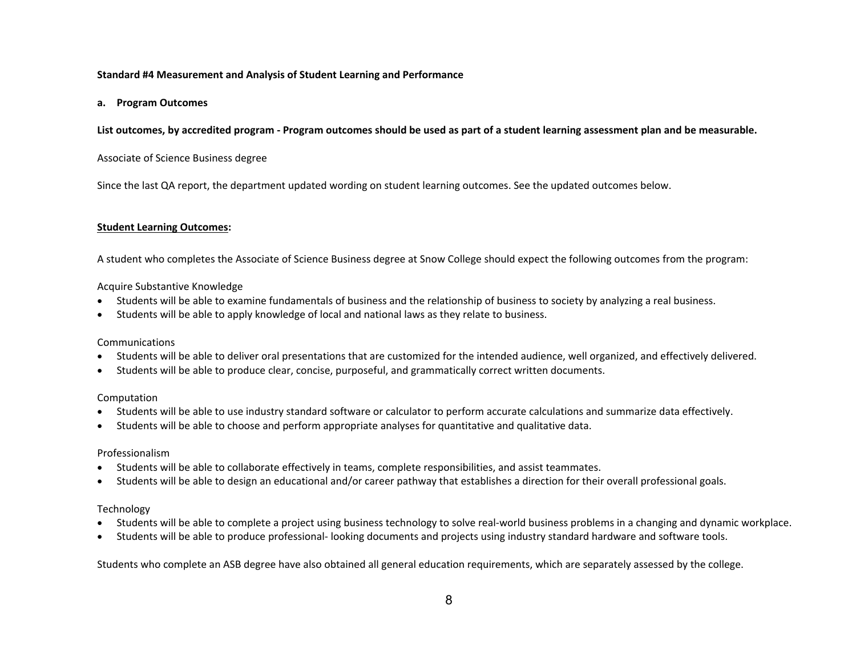# **Standard #4 Measurement and Analysis of Student Learning and Performance**

#### **a. Program Outcomes**

# List outcomes, by accredited program - Program outcomes should be used as part of a student learning assessment plan and be measurable.

## Associate of Science Business degree

Since the last QA report, the department updated wording on student learning outcomes. See the updated outcomes below.

# **Student Learning Outcomes:**

A student who completes the Associate of Science Business degree at Snow College should expect the following outcomes from the program:

# Acquire Substantive Knowledge

- $\bullet$ Students will be able to examine fundamentals of business and the relationship of business to society by analyzing a real business.
- $\bullet$ Students will be able to apply knowledge of local and national laws as they relate to business.

## Communications

- $\bullet$ Students will be able to deliver oral presentations that are customized for the intended audience, well organized, and effectively delivered.
- $\bullet$ Students will be able to produce clear, concise, purposeful, and grammatically correct written documents.

#### Computation

- $\bullet$ Students will be able to use industry standard software or calculator to perform accurate calculations and summarize data effectively.
- $\bullet$ Students will be able to choose and perform appropriate analyses for quantitative and qualitative data.

#### Professionalism

- $\bullet$ Students will be able to collaborate effectively in teams, complete responsibilities, and assist teammates.
- Students will be able to design an educational and/or career pathway that establishes a direction for their overall professional goals.

#### Technology

- $\bullet$ Students will be able to complete a project using business technology to solve real‐world business problems in a changing and dynamic workplace.
- $\bullet$ Students will be able to produce professional‐ looking documents and projects using industry standard hardware and software tools.

Students who complete an ASB degree have also obtained all general education requirements, which are separately assessed by the college.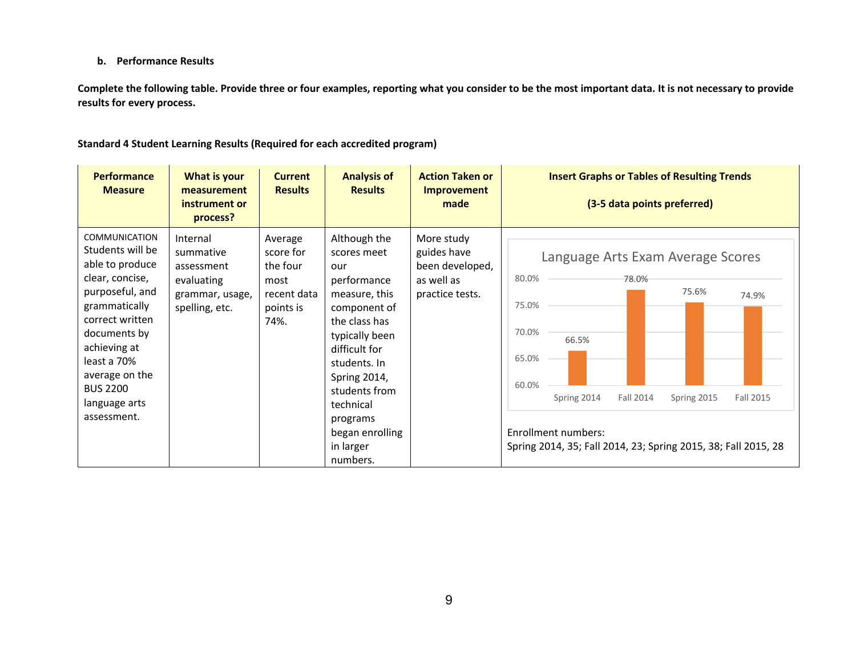# **b. Performance Results**

**Complete the following table. Provide three or four examples, reporting what you consider to be the most important data. It is not necessary to provide results for every process.** 

| <b>Performance</b><br><b>Measure</b>                                                                                                                                                                                                                      | What is your<br>measurement<br>instrument or<br>process?                               | <b>Current</b><br><b>Results</b>                                             | <b>Analysis of</b><br><b>Results</b>                                                                                                                                                                                                                                | <b>Action Taken or</b><br><b>Improvement</b><br>made                          | <b>Insert Graphs or Tables of Resulting Trends</b><br>(3-5 data points preferred)                                                                                                                                                                                   |
|-----------------------------------------------------------------------------------------------------------------------------------------------------------------------------------------------------------------------------------------------------------|----------------------------------------------------------------------------------------|------------------------------------------------------------------------------|---------------------------------------------------------------------------------------------------------------------------------------------------------------------------------------------------------------------------------------------------------------------|-------------------------------------------------------------------------------|---------------------------------------------------------------------------------------------------------------------------------------------------------------------------------------------------------------------------------------------------------------------|
| <b>COMMUNICATION</b><br>Students will be<br>able to produce<br>clear, concise,<br>purposeful, and<br>grammatically<br>correct written<br>documents by<br>achieving at<br>least a 70%<br>average on the<br><b>BUS 2200</b><br>language arts<br>assessment. | Internal<br>summative<br>assessment<br>evaluating<br>grammar, usage,<br>spelling, etc. | Average<br>score for<br>the four<br>most<br>recent data<br>points is<br>74%. | Although the<br>scores meet<br>our<br>performance<br>measure, this<br>component of<br>the class has<br>typically been<br>difficult for<br>students. In<br><b>Spring 2014,</b><br>students from<br>technical<br>programs<br>began enrolling<br>in larger<br>numbers. | More study<br>guides have<br>been developed,<br>as well as<br>practice tests. | Language Arts Exam Average Scores<br>80.0%<br>78.0%<br>75.6%<br>74.9%<br>75.0%<br>70.0%<br>66.5%<br>65.0%<br>60.0%<br>Fall 2015<br>Spring 2014<br>Fall 2014<br>Spring 2015<br>Enrollment numbers:<br>Spring 2014, 35; Fall 2014, 23; Spring 2015, 38; Fall 2015, 28 |

**Standard 4 Student Learning Results (Required for each accredited program)**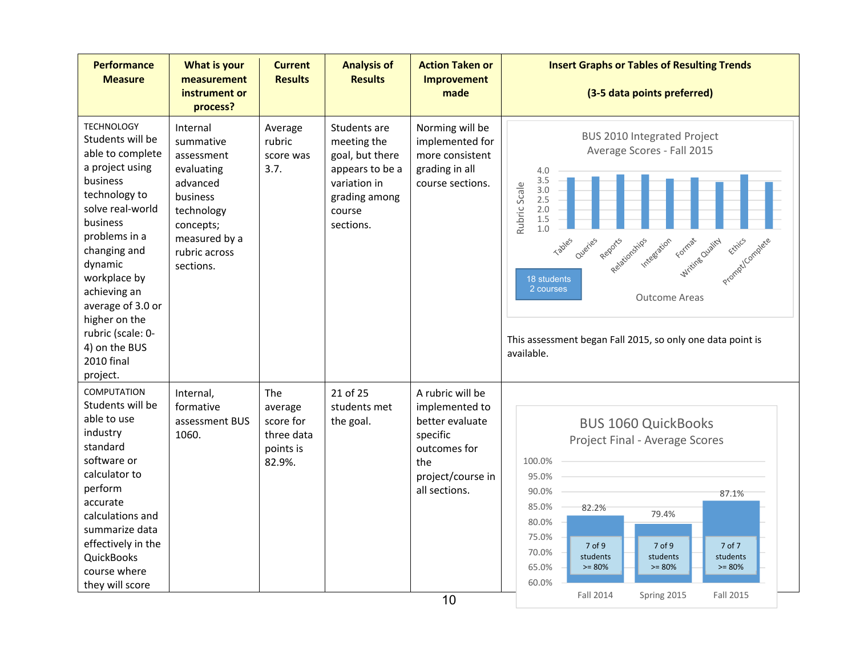| <b>Performance</b><br><b>Measure</b>                                                                                                                                                                                                                                                                                        | What is your<br>measurement<br>instrument or<br>process?                                                                                            | <b>Current</b><br><b>Results</b>                                 | <b>Analysis of</b><br><b>Results</b>                                                                                      | <b>Action Taken or</b><br>Improvement<br>made                                                                                  | <b>Insert Graphs or Tables of Resulting Trends</b><br>(3-5 data points preferred)                                                                                                                                                                                                                                                                                                 |
|-----------------------------------------------------------------------------------------------------------------------------------------------------------------------------------------------------------------------------------------------------------------------------------------------------------------------------|-----------------------------------------------------------------------------------------------------------------------------------------------------|------------------------------------------------------------------|---------------------------------------------------------------------------------------------------------------------------|--------------------------------------------------------------------------------------------------------------------------------|-----------------------------------------------------------------------------------------------------------------------------------------------------------------------------------------------------------------------------------------------------------------------------------------------------------------------------------------------------------------------------------|
| <b>TECHNOLOGY</b><br>Students will be<br>able to complete<br>a project using<br>business<br>technology to<br>solve real-world<br>business<br>problems in a<br>changing and<br>dynamic<br>workplace by<br>achieving an<br>average of 3.0 or<br>higher on the<br>rubric (scale: 0-<br>4) on the BUS<br>2010 final<br>project. | Internal<br>summative<br>assessment<br>evaluating<br>advanced<br>business<br>technology<br>concepts;<br>measured by a<br>rubric across<br>sections. | Average<br>rubric<br>score was<br>3.7.                           | Students are<br>meeting the<br>goal, but there<br>appears to be a<br>variation in<br>grading among<br>course<br>sections. | Norming will be<br>implemented for<br>more consistent<br>grading in all<br>course sections.                                    | <b>BUS 2010 Integrated Project</b><br>Average Scores - Fall 2015<br>4.0<br>3.5<br>Rubric Scale<br>3.0<br>2.5<br>2.0<br>1.5<br>1.0<br>Tables<br>Oueries<br>Integration<br>Reports<br>Mriting Cualicy<br>Prompticamplete<br>Relationships<br>Formac<br>18 students<br>2 courses<br><b>Outcome Areas</b><br>This assessment began Fall 2015, so only one data point is<br>available. |
| <b>COMPUTATION</b><br>Students will be<br>able to use<br>industry<br>standard<br>software or<br>calculator to<br>perform<br>accurate<br>calculations and<br>summarize data<br>effectively in the<br><b>QuickBooks</b><br>course where<br>they will score                                                                    | Internal,<br>formative<br>assessment BUS<br>1060.                                                                                                   | The<br>average<br>score for<br>three data<br>points is<br>82.9%. | 21 of 25<br>students met<br>the goal.                                                                                     | A rubric will be<br>implemented to<br>better evaluate<br>specific<br>outcomes for<br>the<br>project/course in<br>all sections. | <b>BUS 1060 QuickBooks</b><br>Project Final - Average Scores<br>100.0%<br>95.0%<br>90.0%<br>87.1%<br>85.0%<br>82.2%<br>79.4%<br>80.0%<br>75.0%<br>7 of 9<br>7 of 9<br>7 of 7<br>70.0%<br>students<br>students<br>students<br>65.0%<br>$>= 80%$<br>$>= 80%$<br>$>= 80%$<br>60.0%                                                                                                   |
|                                                                                                                                                                                                                                                                                                                             |                                                                                                                                                     |                                                                  |                                                                                                                           | 10                                                                                                                             | <b>Fall 2014</b><br>Spring 2015<br><b>Fall 2015</b>                                                                                                                                                                                                                                                                                                                               |